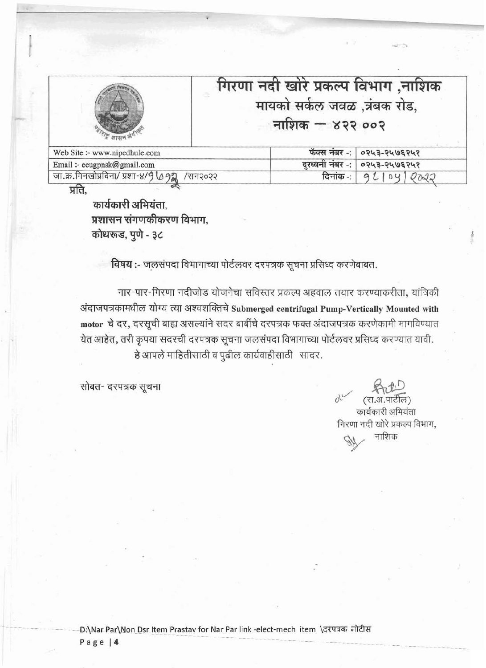

| web Site: www.mpcanule.com                  | $9997 - 2999 - 5999 - 5999$          |  |
|---------------------------------------------|--------------------------------------|--|
| Email: - eeugpnsk@gmail.com                 | दरध्वनी नंबर -:   ०२५३-२५७६२५१       |  |
| जा.क्र.गिनखोप्रविना/ प्रशा-४/9 ७ १२ /सन२०२२ | दिनांक -:   9 $L$   0 $y$   $Q_0$ 22 |  |
|                                             |                                      |  |

प्रति,

कार्यकारी अभियंता. प्रशासन संगणकीकरण विभाग. कोथरूड, पूणे - ३८

**विषय :-** जलसंपदा विभागाच्या पोर्टलवर दरपत्रक सूचना प्रसिध्द करणेबाबत.<br>-<br>नार-पार-गिरणा नदीजोड योजनेचा सविस्तर प्रकल्प अहवाल तयार करण्याकरीता, यांत्रिकी **<sup>34</sup><sup>4</sup>**lq W **ch** l +d%3 h **W** 3RTd%?d **Submerged centrifugal Pump-Vertically Mounted with motor** ~rn,:~md~~~~~~~ f Jrrfa,\*~iFrm~~~~~\*mm. येत आहेत, तरी कृपया सदरची दरपत्रक सूचना जलसंपदा विभागाच्या पोर्टलवर प्रसिध्द करण्यात यावी.<br>हे आपले माहितीसाठी व पुढील कार्यवाहीसाठी सादर.

सोबत- दरपत्रक सूचना

(रा.अ.पार्टील) कार्यकारी अभियंता गिरणा नदी खोरे प्रकल्प विभाग, नाशिक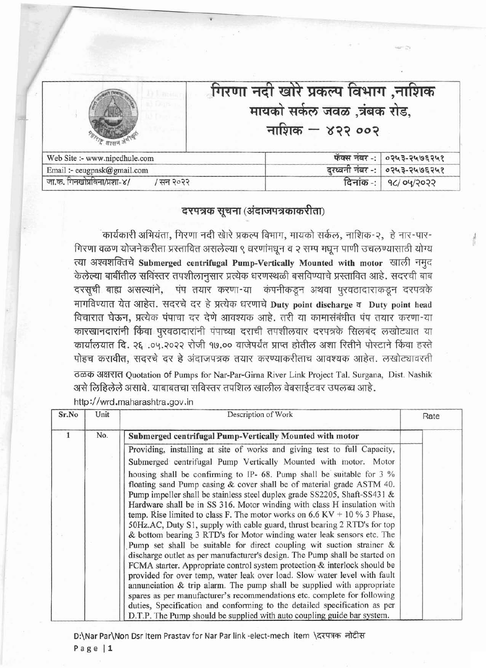|                                                             |                                                                                          | ser i Ci                        |
|-------------------------------------------------------------|------------------------------------------------------------------------------------------|---------------------------------|
|                                                             |                                                                                          |                                 |
|                                                             |                                                                                          |                                 |
|                                                             | गिरणा नदी खोरे प्रकल्प विभाग ,नाशिक<br>मायको सर्कल जवळ ,त्रंबक रोड,<br>नाशिक $-$ ४२२ ००२ |                                 |
|                                                             | फॅक्स नंबर -:                                                                            | 0243-2408248                    |
| Web Site :- www.nipcdhule.com<br>Email:- eeugpnsk@gmail.com |                                                                                          | दुरध्वनी नंबर -:   ०२५३-२५७६२५१ |

.<br>कार्यकारी अभियंता, गिरणा नदी खेारे प्रकल्प विभाग, मायको सर्कल, नाशिक-२, हे नार-पार-गिरणा वळण योजनेकरीता प्रस्तावित असलेल्या ९ धरणांमधून व २ सम्प मधून पाणी उचलण्यासाठी योग्य स्थित्रक **भूचना (अदाजपत्रकाकराता)**<br>बेलार्यकारी अभियंता, गिरणा नदी खेारे प्रकल्प विभाग, मायको सर्कल, नाशिक-२, हे नार-पार-<br>रिया अश्वशक्तिचे Submerged centrifugal Pump-Vertically Mounted with motor खाली नमुद<br>केलेल्या बार् <mark>हार्यकारी अभियंता, गिरणा नदी खेारे प्रकल्प विभाग, मायको सर्कल, नाशिक-२, हे नार-पार-<br>ळण योजनेकरीता प्रस्तावित असलेल्या ९ धरणांमधून व २ सम्प मधून पाणी उचलण्यासाठी योग्य<br>|शक्तिचे Submerged centrifugal Pump-Vertically Mo</mark> केलेल्या बाबींतील सर्विस्तर तपशीलानुसार प्रत्येक धरणस्थळी बसविण्याचे प्रस्तावित आहे. सदरची बाब<br>दरसूची बाह्य असल्यांने, पंप तयार करणा-या कंपनीकडून अथवा पुरवठादाराकडून दरपत्रके<br>मागविण्यात येत आहेत. सदरचे दर हे परसूची बाह्य असल्यांने, पंप तयार करणा-या कंपनीकडून अथवा पुरवठादाराकडून दरपत्रके<br>मागविण्यात येत आहेत. सदरचे दर हे प्रत्येक धरणाचे Duty point discharge व Duty point head<br>विचारात घेऊन, प्रत्येक पंपाचा दर देणे आवश्यक आहे. तरी <mark>विचारात घेऊन, प्रत्ये</mark>क पंपाचा दर देणे आवश्यक आहे. तरी या कामासंबंधीत पंप तयार करणा-या<br>कारखानदारांनी किंवा पुरवठादारांनी पंपाच्या दराची तपशीलवार दरपत्रके सिलबंद लखोट्यात या<br>कार्यालयात दि. २६ .०५.२०२२ रोजी १७.०० वाजेपर्यं पोहच करावीत. सदरचे दर हे अंदाजपत्रक तयार करण्याकरीताच आवश्यक आहेत. लखोट्यावरती

36RlT Quotation of Pumps for Nar-Par-Girna River Link Project Tal. Surgana, Dist. Nashik असे लिहिलेले असावे. याबाबतचा सविस्तर तपशिल खालील वेबसाईटवर उपलब्ध आहे.

http://wrd .maharashtra.gov.in

| Sr.No | Unit | Description of Work                                                                                                                                      | Rate |
|-------|------|----------------------------------------------------------------------------------------------------------------------------------------------------------|------|
|       | No.  | Submerged centrifugal Pump-Vertically Mounted with motor                                                                                                 |      |
|       |      | Providing, installing at site of works and giving test to full Capacity,                                                                                 |      |
|       |      | Submerged centrifugal Pump Vertically Mounted with motor. Motor                                                                                          |      |
|       |      | housing shall be confirming to IP- 68. Pump shall be suitable for 3 %                                                                                    |      |
|       |      | floating sand Pump casing & cover shall be of material grade ASTM 40.                                                                                    |      |
|       |      | Pump impeller shall be stainless steel duplex grade SS2205, Shaft-SS431 &<br>Hardware shall be in SS 316. Motor winding with class H insulation with     |      |
|       |      | temp. Rise limited to class F. The motor works on $6.6$ KV + 10 % 3 Phase,                                                                               |      |
|       |      | 50Hz.AC, Duty S1, supply with cable guard, thrust bearing 2 RTD's for top                                                                                |      |
|       |      | & bottom bearing 3 RTD's for Motor winding water leak sensors etc. The                                                                                   |      |
|       |      | Pump set shall be suitable for direct coupling wit suction strainer &                                                                                    |      |
|       |      | discharge outlet as per manufacturer's design. The Pump shall be started on<br>FCMA starter. Appropriate control system protection & interlock should be |      |
|       |      | provided for over temp, water leak over load. Slow water level with fault                                                                                |      |
|       |      | annunciation & trip alarm. The pump shall be supplied with appropriate                                                                                   |      |
|       |      | spares as per manufacturer's recommendations etc. complete for following                                                                                 |      |
|       |      | duties, Specification and conforming to the detailed specification as per                                                                                |      |
|       |      | D.T.P. The Pump should be supplied with auto coupling guide bar system.                                                                                  |      |

D:\Nar Par\Non Dsr Item Prastav for Nar Par link -elect-mech item \दरपत्रक नोटीस Page **11**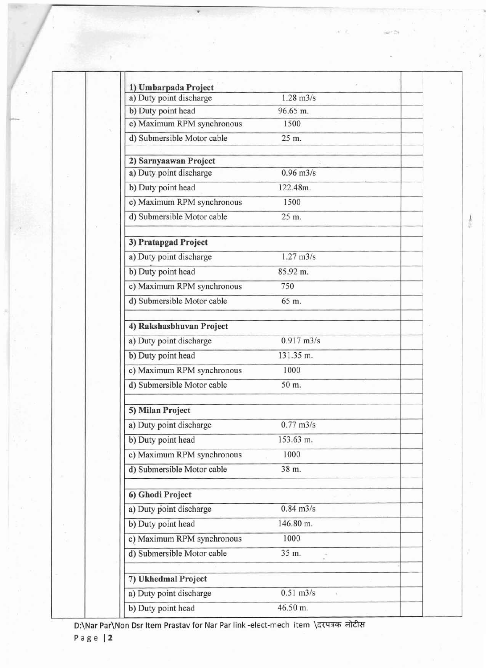| 1) Umbarpada Project       |                              |
|----------------------------|------------------------------|
| a) Duty point discharge    | $1.28 \text{ m}^3/\text{s}$  |
| b) Duty point head         | 96.65 m.                     |
| c) Maximum RPM synchronous | 1500                         |
| d) Submersible Motor cable | 25 m.                        |
| 2) Sarnyaawan Project      |                              |
| a) Duty point discharge    | $0.96 \text{ m}^3/\text{s}$  |
| b) Duty point head         | 122.48m.                     |
| c) Maximum RPM synchronous | 1500                         |
| d) Submersible Motor cable | 25 m.                        |
| 3) Pratapgad Project       |                              |
| a) Duty point discharge    | $1.27 \text{ m}^3/\text{s}$  |
| b) Duty point head         | 85.92 m.                     |
| c) Maximum RPM synchronous | 750                          |
| d) Submersible Motor cable | 65 m.                        |
| 4) Rakshasbhuvan Project   |                              |
| a) Duty point discharge    | $0.917 \text{ m}^3/\text{s}$ |
| b) Duty point head         | 131.35 m.                    |
| c) Maximum RPM synchronous | 1000                         |
| d) Submersible Motor cable | 50 m.                        |
| 5) Milan Project           |                              |
| a) Duty point discharge    | $0.77 \text{ m}^3/\text{s}$  |
| b) Duty point head         | 153.63 m.                    |
| c) Maximum RPM synchronous | 1000                         |
| d) Submersible Motor cable | 38 m.                        |
| 6) Ghodi Project           |                              |
| a) Duty point discharge    | $0.84 \; \rm{m3/s}$          |
| b) Duty point head         | 146.80 m.                    |
| c) Maximum RPM synchronous | 1000                         |
| d) Submersible Motor cable | 35 m.                        |
| 7) Ukhedmal Project        |                              |
| a) Duty point discharge    | $0.51 \text{ m3/s}$          |
| b) Duty point head         | 46.50 m.                     |

 $\frac{1}{\sqrt{2}}$ 

D:\Nar Par\Non Dsr Item Prastav for Nar Par link -elect-mech)item \दरपत्रक नोटीर Page **12**